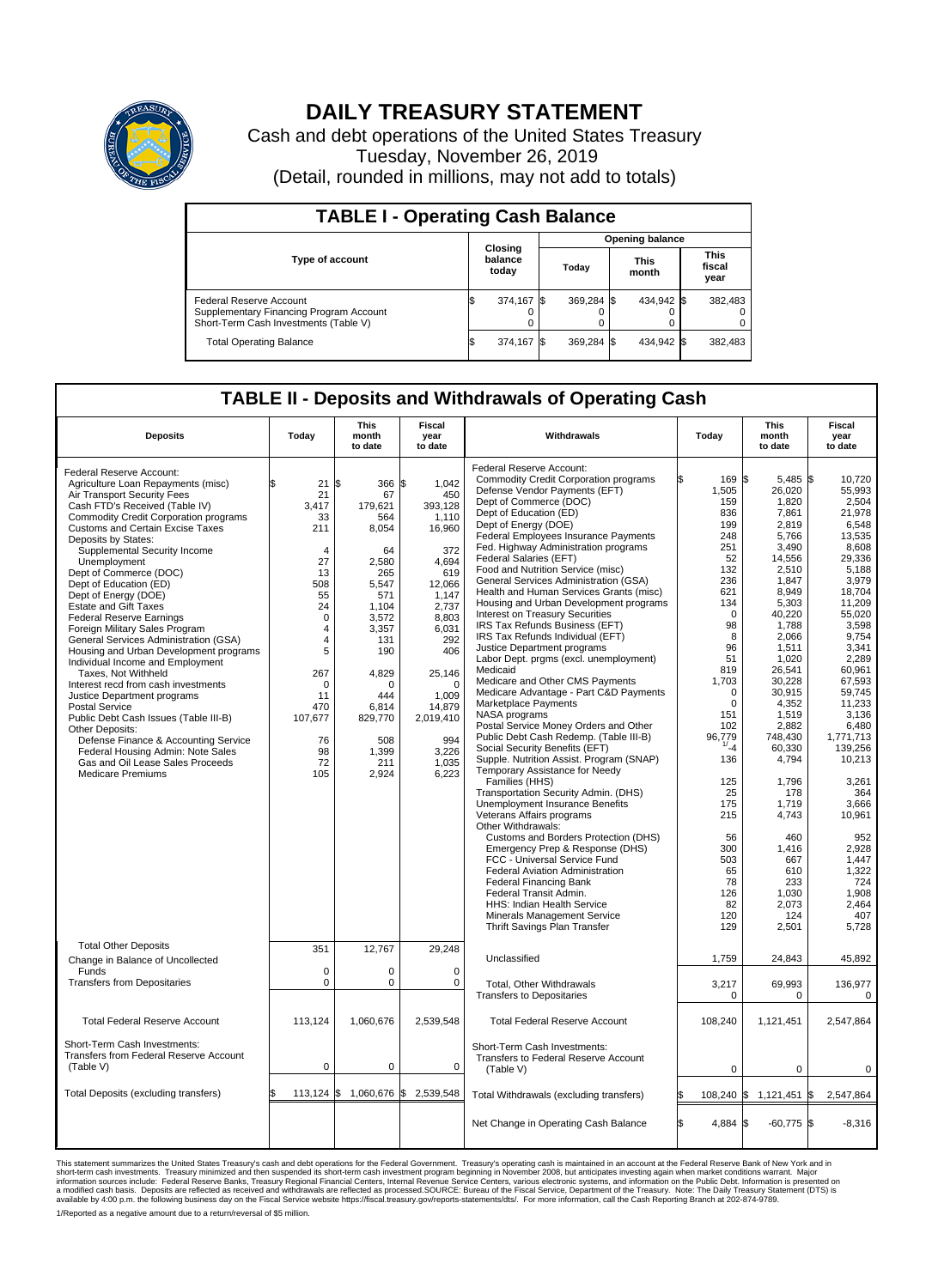

## **DAILY TREASURY STATEMENT**

Cash and debt operations of the United States Treasury Tuesday, November 26, 2019 (Detail, rounded in millions, may not add to totals)

| <b>TABLE I - Operating Cash Balance</b>                                                                     |                             |            |       |                        |  |                      |                               |         |  |  |  |
|-------------------------------------------------------------------------------------------------------------|-----------------------------|------------|-------|------------------------|--|----------------------|-------------------------------|---------|--|--|--|
|                                                                                                             |                             |            |       | <b>Opening balance</b> |  |                      |                               |         |  |  |  |
| <b>Type of account</b>                                                                                      | Closing<br>balance<br>today |            | Today |                        |  | <b>This</b><br>month | <b>This</b><br>fiscal<br>year |         |  |  |  |
| Federal Reserve Account<br>Supplementary Financing Program Account<br>Short-Term Cash Investments (Table V) |                             | 374,167 \$ |       | 369,284 \$             |  | 434,942 \$           |                               | 382,483 |  |  |  |
| <b>Total Operating Balance</b>                                                                              | ß.                          | 374,167 \$ |       | 369,284 \$             |  | 434,942 \$           |                               | 382,483 |  |  |  |

## **TABLE II - Deposits and Withdrawals of Operating Cash**

| <b>Deposits</b>                                                                                                                                                                                                                                                                                                                                                                                                                                                                                                                                                                                                                                                                                                                                                                                                                                                                                                                   | Today                                                                                                                                                                                                      | <b>This</b><br>month<br>to date                                                                                                                                                                        | <b>Fiscal</b><br>year<br>to date                                                                                                                                                                                      | Withdrawals                                                                                                                                                                                                                                                                                                                                                                                                                                                                                                                                                                                                                                                                                                                                                                                                                                                                                                                                                                                                                                                                                                                                                                                                                                                                                                                     | Today                                                                                                                                                                                                                                                            | <b>This</b><br>month<br>to date                                                                                                                                                                                                                                                                                           | <b>Fiscal</b><br>year<br>to date                                                                                                                                                                                                                                                                                                      |
|-----------------------------------------------------------------------------------------------------------------------------------------------------------------------------------------------------------------------------------------------------------------------------------------------------------------------------------------------------------------------------------------------------------------------------------------------------------------------------------------------------------------------------------------------------------------------------------------------------------------------------------------------------------------------------------------------------------------------------------------------------------------------------------------------------------------------------------------------------------------------------------------------------------------------------------|------------------------------------------------------------------------------------------------------------------------------------------------------------------------------------------------------------|--------------------------------------------------------------------------------------------------------------------------------------------------------------------------------------------------------|-----------------------------------------------------------------------------------------------------------------------------------------------------------------------------------------------------------------------|---------------------------------------------------------------------------------------------------------------------------------------------------------------------------------------------------------------------------------------------------------------------------------------------------------------------------------------------------------------------------------------------------------------------------------------------------------------------------------------------------------------------------------------------------------------------------------------------------------------------------------------------------------------------------------------------------------------------------------------------------------------------------------------------------------------------------------------------------------------------------------------------------------------------------------------------------------------------------------------------------------------------------------------------------------------------------------------------------------------------------------------------------------------------------------------------------------------------------------------------------------------------------------------------------------------------------------|------------------------------------------------------------------------------------------------------------------------------------------------------------------------------------------------------------------------------------------------------------------|---------------------------------------------------------------------------------------------------------------------------------------------------------------------------------------------------------------------------------------------------------------------------------------------------------------------------|---------------------------------------------------------------------------------------------------------------------------------------------------------------------------------------------------------------------------------------------------------------------------------------------------------------------------------------|
| Federal Reserve Account:<br>Agriculture Loan Repayments (misc)<br>Air Transport Security Fees<br>Cash FTD's Received (Table IV)<br><b>Commodity Credit Corporation programs</b><br>Customs and Certain Excise Taxes<br>Deposits by States:<br>Supplemental Security Income<br>Unemployment<br>Dept of Commerce (DOC)<br>Dept of Education (ED)<br>Dept of Energy (DOE)<br><b>Estate and Gift Taxes</b><br><b>Federal Reserve Earnings</b><br>Foreign Military Sales Program<br>General Services Administration (GSA)<br>Housing and Urban Development programs<br>Individual Income and Employment<br>Taxes. Not Withheld<br>Interest recd from cash investments<br>Justice Department programs<br><b>Postal Service</b><br>Public Debt Cash Issues (Table III-B)<br>Other Deposits:<br>Defense Finance & Accounting Service<br>Federal Housing Admin: Note Sales<br>Gas and Oil Lease Sales Proceeds<br><b>Medicare Premiums</b> | $21 \overline{\text{S}}$<br>\$<br>21<br>3,417<br>33<br>211<br>$\overline{4}$<br>27<br>13<br>508<br>55<br>24<br>$\Omega$<br>4<br>4<br>5<br>267<br>$\Omega$<br>11<br>470<br>107,677<br>76<br>98<br>72<br>105 | 366 \$<br>67<br>179,621<br>564<br>8.054<br>64<br>2,580<br>265<br>5.547<br>571<br>1,104<br>3,572<br>3,357<br>131<br>190<br>4,829<br>$\Omega$<br>444<br>6,814<br>829,770<br>508<br>1.399<br>211<br>2,924 | 1,042<br>450<br>393,128<br>1,110<br>16,960<br>372<br>4,694<br>619<br>12.066<br>1,147<br>2,737<br>8,803<br>6,031<br>292<br>406<br>25,146<br>$\Omega$<br>1,009<br>14,879<br>2,019,410<br>994<br>3.226<br>1,035<br>6,223 | Federal Reserve Account:<br><b>Commodity Credit Corporation programs</b><br>Defense Vendor Payments (EFT)<br>Dept of Commerce (DOC)<br>Dept of Education (ED)<br>Dept of Energy (DOE)<br>Federal Employees Insurance Payments<br>Fed. Highway Administration programs<br>Federal Salaries (EFT)<br>Food and Nutrition Service (misc)<br>General Services Administration (GSA)<br>Health and Human Services Grants (misc)<br>Housing and Urban Development programs<br><b>Interest on Treasury Securities</b><br>IRS Tax Refunds Business (EFT)<br>IRS Tax Refunds Individual (EFT)<br>Justice Department programs<br>Labor Dept. prgms (excl. unemployment)<br>Medicaid<br>Medicare and Other CMS Payments<br>Medicare Advantage - Part C&D Payments<br>Marketplace Payments<br>NASA programs<br>Postal Service Money Orders and Other<br>Public Debt Cash Redemp. (Table III-B)<br>Social Security Benefits (EFT)<br>Supple. Nutrition Assist. Program (SNAP)<br>Temporary Assistance for Needy<br>Families (HHS)<br>Transportation Security Admin. (DHS)<br>Unemployment Insurance Benefits<br>Veterans Affairs programs<br>Other Withdrawals:<br>Customs and Borders Protection (DHS)<br>Emergency Prep & Response (DHS)<br>FCC - Universal Service Fund<br>Federal Aviation Administration<br><b>Federal Financing Bank</b> | 169 \$<br>1,505<br>159<br>836<br>199<br>248<br>251<br>52<br>132<br>236<br>621<br>134<br>$\mathbf 0$<br>98<br>8<br>96<br>51<br>819<br>1,703<br>$\mathbf 0$<br>0<br>151<br>102<br>96,779<br>1/24<br>136<br>125<br>25<br>175<br>215<br>56<br>300<br>503<br>65<br>78 | 5,485 \$<br>26,020<br>1,820<br>7,861<br>2,819<br>5.766<br>3,490<br>14,556<br>2.510<br>1,847<br>8,949<br>5,303<br>40,220<br>1,788<br>2,066<br>1,511<br>1,020<br>26,541<br>30,228<br>30,915<br>4,352<br>1,519<br>2.882<br>748,430<br>60,330<br>4,794<br>1,796<br>178<br>1,719<br>4,743<br>460<br>1,416<br>667<br>610<br>233 | 10,720<br>55,993<br>2.504<br>21,978<br>6,548<br>13.535<br>8,608<br>29,336<br>5.188<br>3,979<br>18,704<br>11,209<br>55,020<br>3,598<br>9,754<br>3,341<br>2.289<br>60,961<br>67,593<br>59,745<br>11,233<br>3,136<br>6.480<br>1,771,713<br>139.256<br>10,213<br>3,261<br>364<br>3,666<br>10,961<br>952<br>2.928<br>1,447<br>1,322<br>724 |
| <b>Total Other Deposits</b>                                                                                                                                                                                                                                                                                                                                                                                                                                                                                                                                                                                                                                                                                                                                                                                                                                                                                                       | 351                                                                                                                                                                                                        | 12,767                                                                                                                                                                                                 | 29,248                                                                                                                                                                                                                | Federal Transit Admin.<br>HHS: Indian Health Service<br>Minerals Management Service<br>Thrift Savings Plan Transfer                                                                                                                                                                                                                                                                                                                                                                                                                                                                                                                                                                                                                                                                                                                                                                                                                                                                                                                                                                                                                                                                                                                                                                                                             | 126<br>82<br>120<br>129                                                                                                                                                                                                                                          | 1,030<br>2,073<br>124<br>2,501                                                                                                                                                                                                                                                                                            | 1,908<br>2,464<br>407<br>5,728                                                                                                                                                                                                                                                                                                        |
| Change in Balance of Uncollected                                                                                                                                                                                                                                                                                                                                                                                                                                                                                                                                                                                                                                                                                                                                                                                                                                                                                                  |                                                                                                                                                                                                            |                                                                                                                                                                                                        |                                                                                                                                                                                                                       | Unclassified                                                                                                                                                                                                                                                                                                                                                                                                                                                                                                                                                                                                                                                                                                                                                                                                                                                                                                                                                                                                                                                                                                                                                                                                                                                                                                                    | 1,759                                                                                                                                                                                                                                                            | 24,843                                                                                                                                                                                                                                                                                                                    | 45,892                                                                                                                                                                                                                                                                                                                                |
| Funds<br><b>Transfers from Depositaries</b>                                                                                                                                                                                                                                                                                                                                                                                                                                                                                                                                                                                                                                                                                                                                                                                                                                                                                       | $\mathbf 0$<br>$\mathbf 0$                                                                                                                                                                                 | 0<br>$\mathbf 0$                                                                                                                                                                                       | $\mathbf 0$<br>0                                                                                                                                                                                                      | <b>Total. Other Withdrawals</b><br><b>Transfers to Depositaries</b>                                                                                                                                                                                                                                                                                                                                                                                                                                                                                                                                                                                                                                                                                                                                                                                                                                                                                                                                                                                                                                                                                                                                                                                                                                                             | 3,217<br>0                                                                                                                                                                                                                                                       | 69.993<br>$\mathbf 0$                                                                                                                                                                                                                                                                                                     | 136.977<br>$\mathbf 0$                                                                                                                                                                                                                                                                                                                |
| <b>Total Federal Reserve Account</b>                                                                                                                                                                                                                                                                                                                                                                                                                                                                                                                                                                                                                                                                                                                                                                                                                                                                                              | 113,124                                                                                                                                                                                                    | 1,060,676                                                                                                                                                                                              | 2,539,548                                                                                                                                                                                                             | <b>Total Federal Reserve Account</b>                                                                                                                                                                                                                                                                                                                                                                                                                                                                                                                                                                                                                                                                                                                                                                                                                                                                                                                                                                                                                                                                                                                                                                                                                                                                                            | 108,240                                                                                                                                                                                                                                                          | 1,121,451                                                                                                                                                                                                                                                                                                                 | 2,547,864                                                                                                                                                                                                                                                                                                                             |
| Short-Term Cash Investments:<br>Transfers from Federal Reserve Account<br>(Table V)                                                                                                                                                                                                                                                                                                                                                                                                                                                                                                                                                                                                                                                                                                                                                                                                                                               | $\mathbf 0$                                                                                                                                                                                                | $\mathbf 0$                                                                                                                                                                                            | $\mathbf 0$                                                                                                                                                                                                           | Short-Term Cash Investments:<br>Transfers to Federal Reserve Account<br>(Table V)                                                                                                                                                                                                                                                                                                                                                                                                                                                                                                                                                                                                                                                                                                                                                                                                                                                                                                                                                                                                                                                                                                                                                                                                                                               | $\mathbf 0$                                                                                                                                                                                                                                                      | $\mathbf 0$                                                                                                                                                                                                                                                                                                               | 0                                                                                                                                                                                                                                                                                                                                     |
| Total Deposits (excluding transfers)                                                                                                                                                                                                                                                                                                                                                                                                                                                                                                                                                                                                                                                                                                                                                                                                                                                                                              | $113,124$ \$                                                                                                                                                                                               | 1,060,676 \$                                                                                                                                                                                           | 2,539,548                                                                                                                                                                                                             | Total Withdrawals (excluding transfers)                                                                                                                                                                                                                                                                                                                                                                                                                                                                                                                                                                                                                                                                                                                                                                                                                                                                                                                                                                                                                                                                                                                                                                                                                                                                                         | 108,240                                                                                                                                                                                                                                                          | 1,121,451<br>1\$                                                                                                                                                                                                                                                                                                          | 2,547,864<br>1\$                                                                                                                                                                                                                                                                                                                      |
|                                                                                                                                                                                                                                                                                                                                                                                                                                                                                                                                                                                                                                                                                                                                                                                                                                                                                                                                   |                                                                                                                                                                                                            |                                                                                                                                                                                                        |                                                                                                                                                                                                                       | Net Change in Operating Cash Balance                                                                                                                                                                                                                                                                                                                                                                                                                                                                                                                                                                                                                                                                                                                                                                                                                                                                                                                                                                                                                                                                                                                                                                                                                                                                                            | l\$<br>4,884                                                                                                                                                                                                                                                     | l\$<br>$-60,775$ \$                                                                                                                                                                                                                                                                                                       | $-8,316$                                                                                                                                                                                                                                                                                                                              |

This statement summarizes the United States Treasury's cash and debt operations for the Federal Government. Treasury soperating in November 2008, but anticiarded in a cocount at the Federal metaform mathemultions warrant. 1/Reported as a negative amount due to a return/reversal of \$5 million.